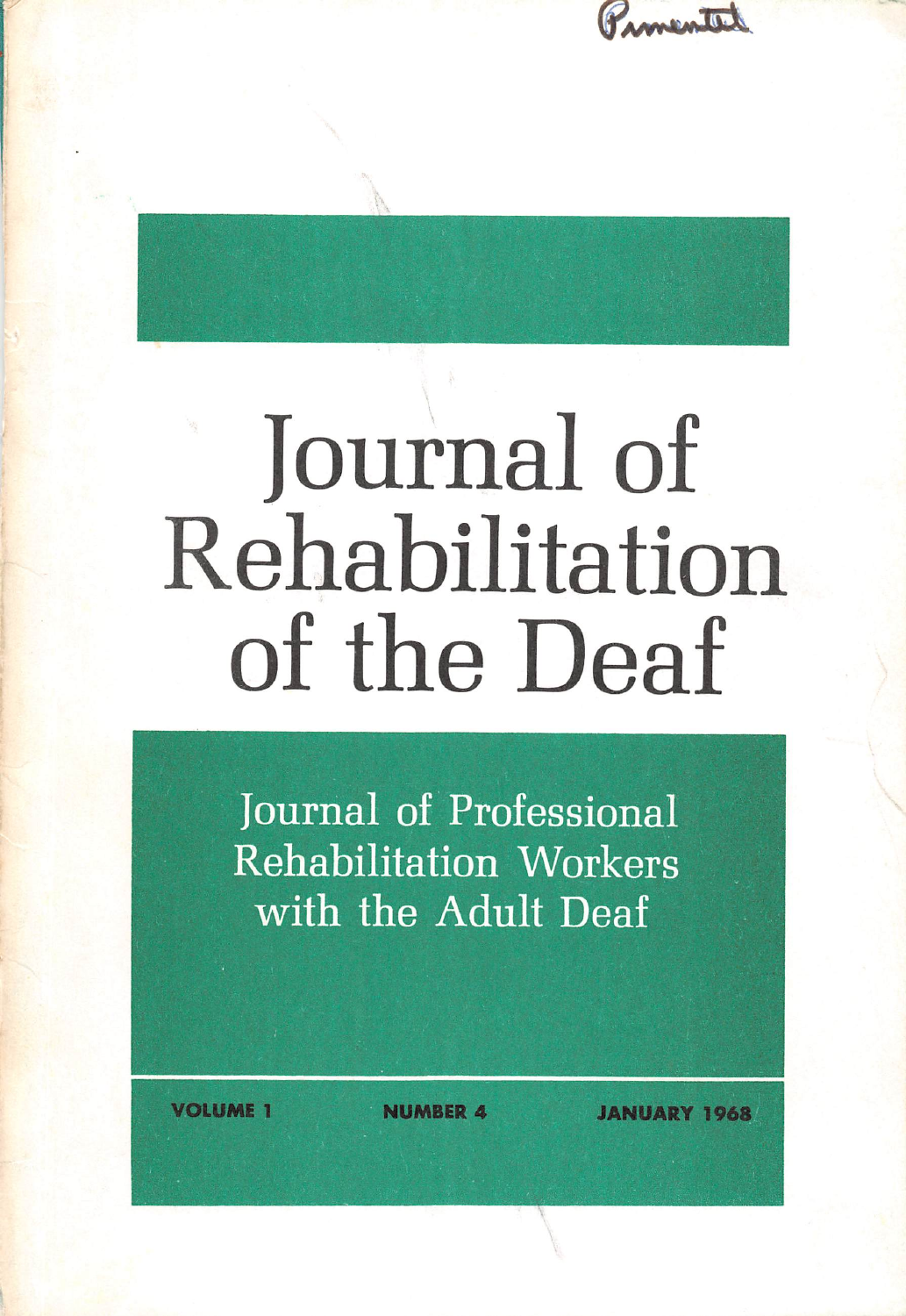

## Journal of Rehabilitation of the Deaf

Journal of Professional Rehabilitation Workers with the Adult Deaf

**FRUME 1** NUMBER 4 JANUARY 1968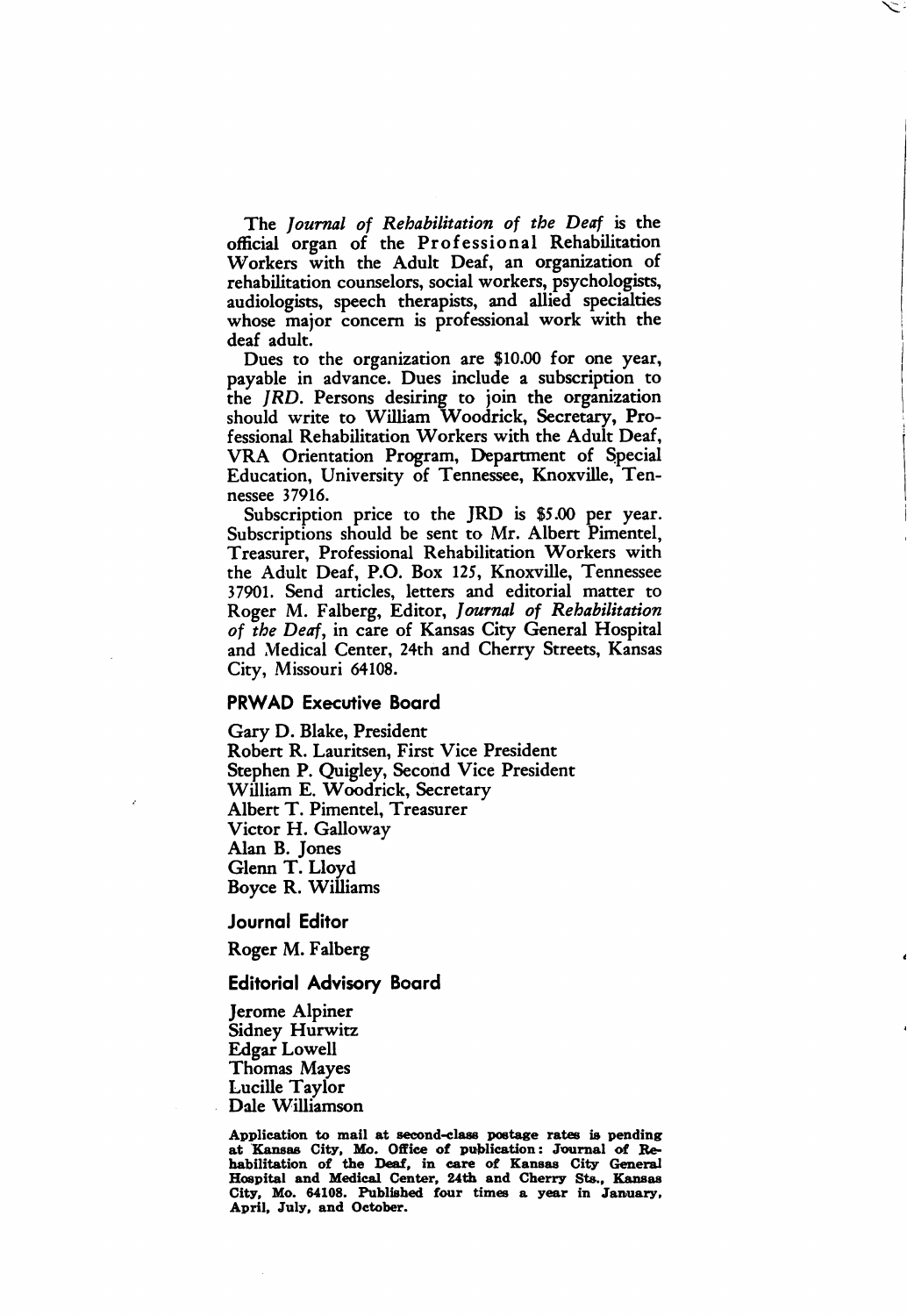The Journal of Rehabilitation of the Deaf is the official organ of the Professional Rehabilitation Workers with the Adult Deaf, an organization of rehabilitation counselors, social workers, psychologists, audiologists, speech therapists, and allied specialties whose major concern is professional work with the deaf adult.

Dues to the organization are \$10.00 for one year, payable in advance. Dues include a subscription to the JRD. Persons desiring to join the organization should write to William Woodrick, Secretary, Pro fessional Rehabilitation Workers with the Adult Deaf, VRA Orientation Program, Department of Special Education, University of Tennessee, Knoxville, Ten nessee 37916.

Subscription price to the JRD is \$5.00 per year. Subscriptions should be sent to Mr. Albert Pimentel, Treasurer, Professional Rehabilitation Workers with the Adult Deaf, P.O. Box 125, Knoxville, Tennessee 37901. Send articles, letters and editorial matter to Roger M. Falberg, Editor, Journal of Rehabilitation of the Deaf, in care of Kansas City General Hospital and Medical Center, 24th and Cherry Streets, Kansas City, Missouri 64108.

## PRWAD Executive Board

Gary D. Blake, President Robert R. Lauritsen, First Vice President Stephen P. Quigley, Second Vice President William E. Woodrick, Secretary Albert T. Pimentel, Treasurer Victor H. Galloway Alan B. Jones Glenn T. Lloyd Boyce R. Williams

Journal Editor

Roger M. Falberg

## Editorial Advisory Board

Jerome Alpiner Sidney Hurwitz Edgar Lowell Thomas Mayes Lucille Taylor Dale Williamson

Application to mail at second-class postage rates is pending at Kansas City, Mo. Office of publication: Journal of Rehabilitation of the Deaf, in care of Kansas City General Hospital and Medical Center, 24th and Cherry Sts., Kansas City, Mo. 64108. Published four times a year in January, April, July, and October.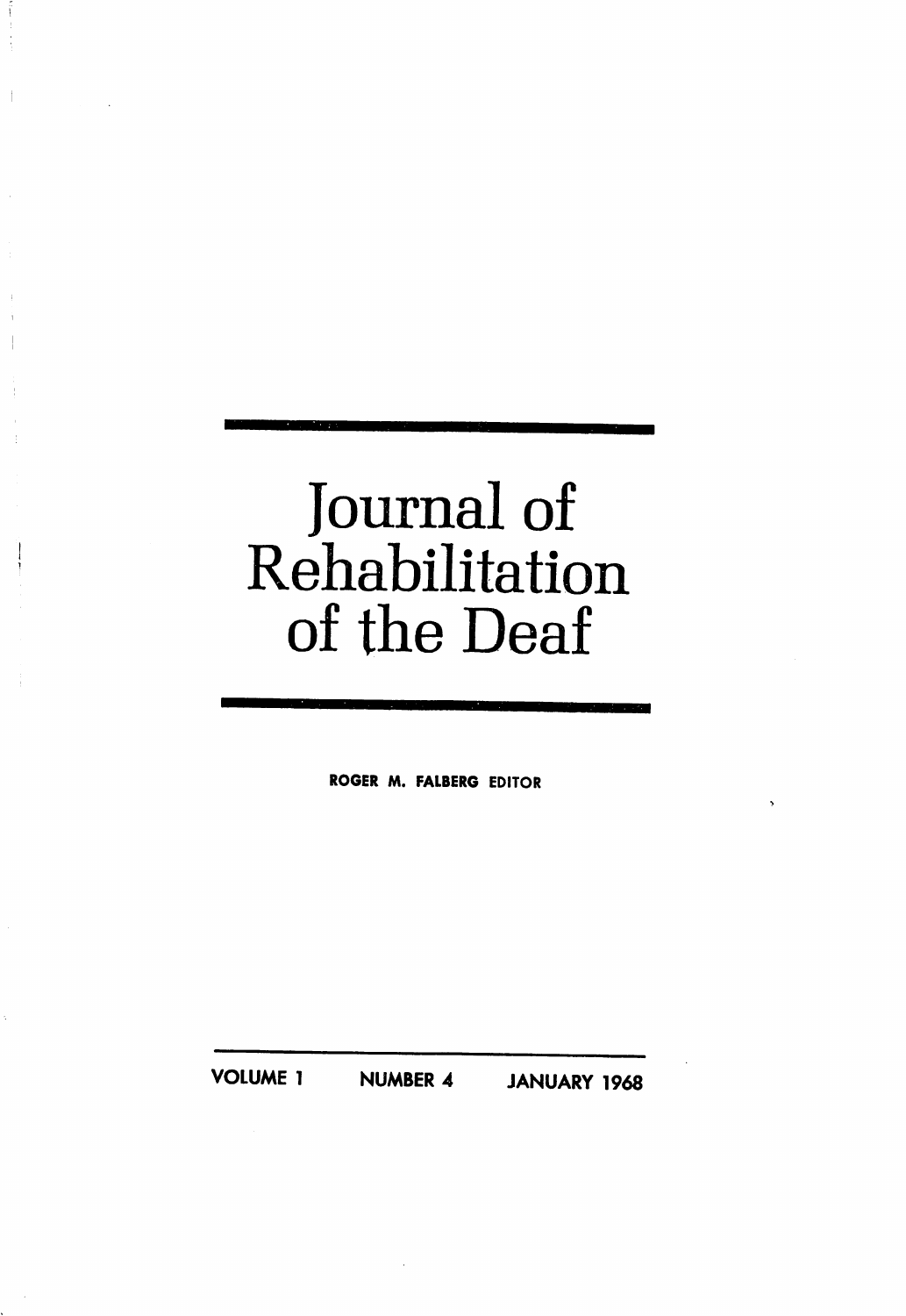## Journal of Rehabilitation of the Deaf

ROGER M. FALBERG EDITOR

VOLUME 1 NUMBER 4 JANUARY 1968